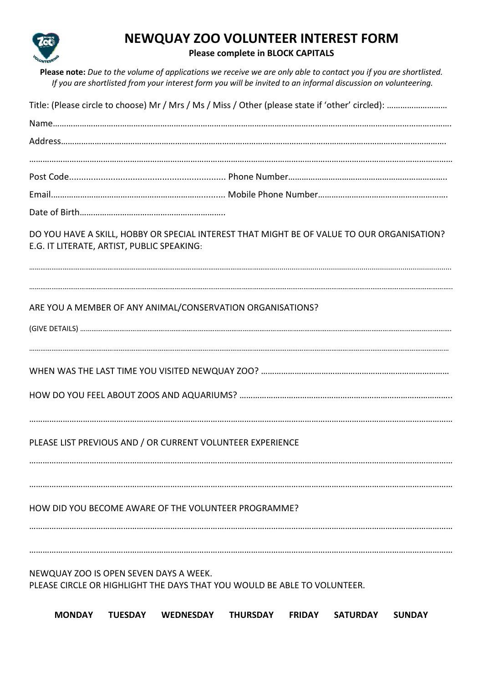

## **NEWQUAY ZOO VOLUNTEER INTEREST FORM**

## **Please complete in BLOCK CAPITALS**

**Please note:** *Due to the volume of applications we receive we are only able to contact you if you are shortlisted. If you are shortlisted from your interest form you will be invited to an informal discussion on volunteering.*

| DO YOU HAVE A SKILL, HOBBY OR SPECIAL INTEREST THAT MIGHT BE OF VALUE TO OUR ORGANISATION?<br>E.G. IT LITERATE, ARTIST, PUBLIC SPEAKING: |                |           |                 |               |                 |               |  |
|------------------------------------------------------------------------------------------------------------------------------------------|----------------|-----------|-----------------|---------------|-----------------|---------------|--|
| ARE YOU A MEMBER OF ANY ANIMAL/CONSERVATION ORGANISATIONS?                                                                               |                |           |                 |               |                 |               |  |
|                                                                                                                                          |                |           |                 |               |                 |               |  |
| PLEASE LIST PREVIOUS AND / OR CURRENT VOLUNTEER EXPERIENCE                                                                               |                |           |                 |               |                 |               |  |
| HOW DID YOU BECOME AWARE OF THE VOLUNTEER PROGRAMME?                                                                                     |                |           |                 |               |                 |               |  |
| NEWQUAY ZOO IS OPEN SEVEN DAYS A WEEK.<br>PLEASE CIRCLE OR HIGHLIGHT THE DAYS THAT YOU WOULD BE ABLE TO VOLUNTEER.<br><b>MONDAY</b>      | <b>TUESDAY</b> | WEDNESDAY | <b>THURSDAY</b> | <b>FRIDAY</b> | <b>SATURDAY</b> | <b>SUNDAY</b> |  |